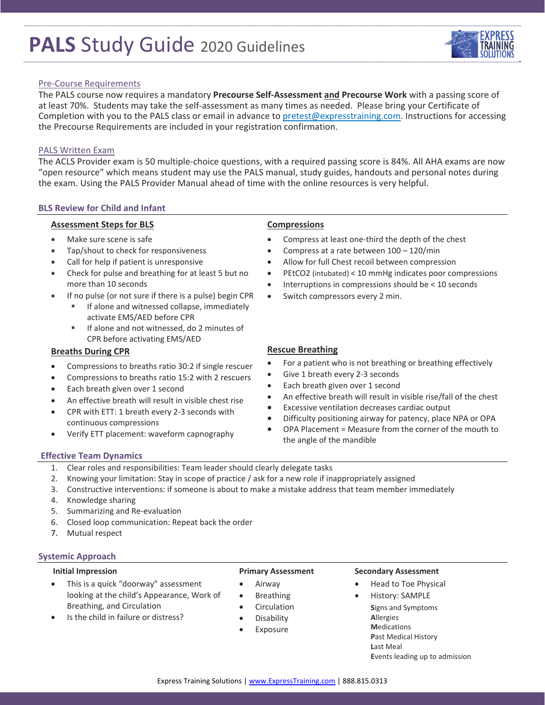# **PALS** Study Guide <sup>2020</sup> Guidelines

## Pre‐Course Requirements

The PALS course now requires a mandatory **Precourse Self‐Assessment and Precourse Work** with a passing score of at least 70%. Students may take the self‐assessment as many times as needed. Please bring your Certificate of Completion with you to the PALS class or email in advance to pretest@expresstraining.com. Instructions for accessing the Precourse Requirements are included in your registration confirmation.

#### PALS Written Exam

The ACLS Provider exam is 50 multiple‐choice questions, with a required passing score is 84%. All AHA exams are now "open resource" which means student may use the PALS manual, study guides, handouts and personal notes during the exam. Using the PALS Provider Manual ahead of time with the online resources is very helpful.

#### **BLS Review for Child and Infant**

#### **Assessment Steps for BLS**

- Make sure scene is safe
- Tap/shout to check for responsiveness
- Call for help if patient is unresponsive
- Check for pulse and breathing for at least 5 but no more than 10 seconds
- If no pulse (or not sure if there is a pulse) begin CPR
	- If alone and witnessed collapse, immediately activate EMS/AED before CPR
	- If alone and not witnessed, do 2 minutes of CPR before activating EMS/AED

### **Breaths During CPR**

- Compressions to breaths ratio 30:2 if single rescuer
- Compressions to breaths ratio 15:2 with 2 rescuers
- Each breath given over 1 second
- An effective breath will result in visible chest rise
- CPR with ETT: 1 breath every 2-3 seconds with continuous compressions
- Verify ETT placement: waveform capnography

### **Compressions**

- Compress at least one‐third the depth of the chest
- Compress at a rate between 100 120/min
- Allow for full Chest recoil between compression
- PEtCO2 (intubated) < 10 mmHg indicates poor compressions
- Interruptions in compressions should be < 10 seconds
- Switch compressors every 2 min.

### **Rescue Breathing**

- For a patient who is not breathing or breathing effectively
- Give 1 breath every 2‐3 seconds
- Each breath given over 1 second
- An effective breath will result in visible rise/fall of the chest
- Excessive ventilation decreases cardiac output
- Difficulty positioning airway for patency, place NPA or OPA
- OPA Placement = Measure from the corner of the mouth to the angle of the mandible

#### **Effective Team Dynamics**

- 1. Clear roles and responsibilities: Team leader should clearly delegate tasks
- 2. Knowing your limitation: Stay in scope of practice / ask for a new role if inappropriately assigned
- 3. Constructive interventions: if someone is about to make a mistake address that team member immediately
- 4. Knowledge sharing
- 5. Summarizing and Re‐evaluation
- 6. Closed loop communication: Repeat back the order
- 7. Mutual respect

#### **Systemic Approach**

#### **Initial Impression**

- This is a quick "doorway" assessment looking at the child's Appearance, Work of Breathing, and Circulation
- Is the child in failure or distress?

#### **Primary Assessment**

- Airway
- Breathing
- Circulation
- Disability
- Exposure

#### **Secondary Assessment**

- Head to Toe Physical
	- History: SAMPLE **S**igns and Symptoms **A**llergies **M**edications **P**ast Medical History **L**ast Meal **E**vents leading up to admission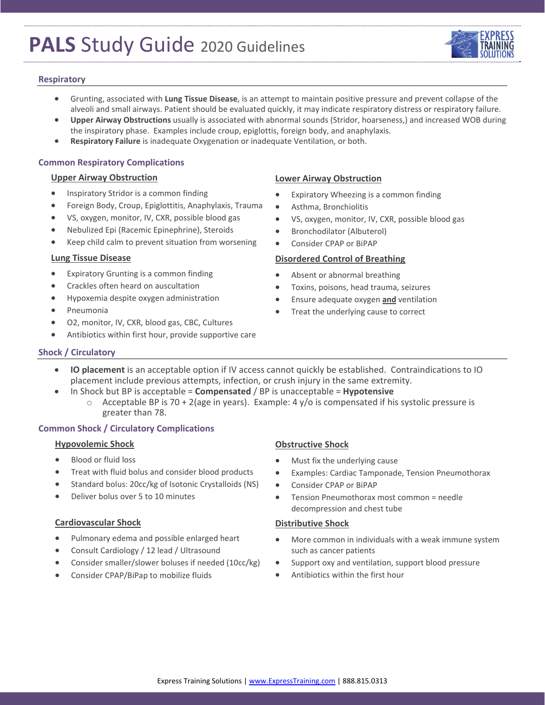# **PALS** Study Guide <sup>2020</sup> Guidelines



### **Respiratory**

- Grunting, associated with **Lung Tissue Disease**, is an attempt to maintain positive pressure and prevent collapse of the alveoli and small airways. Patient should be evaluated quickly, it may indicate respiratory distress or respiratory failure.
- **Upper Airway Obstructions** usually is associated with abnormal sounds (Stridor, hoarseness,) and increased WOB during the inspiratory phase. Examples include croup, epiglottis, foreign body, and anaphylaxis.
- **Respiratory Failure** is inadequate Oxygenation or inadequate Ventilation, or both.

### **Common Respiratory Complications**

#### **Upper Airway Obstruction**

- Inspiratory Stridor is a common finding
- Foreign Body, Croup, Epiglottitis, Anaphylaxis, Trauma
- VS, oxygen, monitor, IV, CXR, possible blood gas
- Nebulized Epi (Racemic Epinephrine), Steroids
- Keep child calm to prevent situation from worsening

#### **Lung Tissue Disease**

- Expiratory Grunting is a common finding
- Crackles often heard on auscultation
- Hypoxemia despite oxygen administration
- Pneumonia
- O2, monitor, IV, CXR, blood gas, CBC, Cultures
- Antibiotics within first hour, provide supportive care

# **Lower Airway Obstruction**

- Expiratory Wheezing is a common finding
- Asthma, Bronchiolitis
- VS, oxygen, monitor, IV, CXR, possible blood gas
- **•** Bronchodilator (Albuterol)
- Consider CPAP or BiPAP

### **Disordered Control of Breathing**

- Absent or abnormal breathing
- Toxins, poisons, head trauma, seizures
- Ensure adequate oxygen **and** ventilation
- Treat the underlying cause to correct

## **Shock / Circulatory**

- **IO placement** is an acceptable option if IV access cannot quickly be established. Contraindications to IO placement include previous attempts, infection, or crush injury in the same extremity.
- In Shock but BP is acceptable = **Compensated** / BP is unacceptable = **Hypotensive**
	- $\circ$  Acceptable BP is 70 + 2(age in years). Example: 4 y/o is compensated if his systolic pressure is greater than 78.

# **Common Shock / Circulatory Complications**

#### **Hypovolemic Shock**

- Blood or fluid loss
- Treat with fluid bolus and consider blood products
- Standard bolus: 20cc/kg of Isotonic Crystalloids (NS)
- Deliver bolus over 5 to 10 minutes

## **Cardiovascular Shock**

- Pulmonary edema and possible enlarged heart
- Consult Cardiology / 12 lead / Ultrasound
- Consider smaller/slower boluses if needed (10cc/kg)
- Consider CPAP/BiPap to mobilize fluids

## **Obstructive Shock**

- Must fix the underlying cause
- Examples: Cardiac Tamponade, Tension Pneumothorax
- Consider CPAP or BiPAP
- Tension Pneumothorax most common = needle decompression and chest tube

## **Distributive Shock**

- More common in individuals with a weak immune system such as cancer patients
- Support oxy and ventilation, support blood pressure
- Antibiotics within the first hour